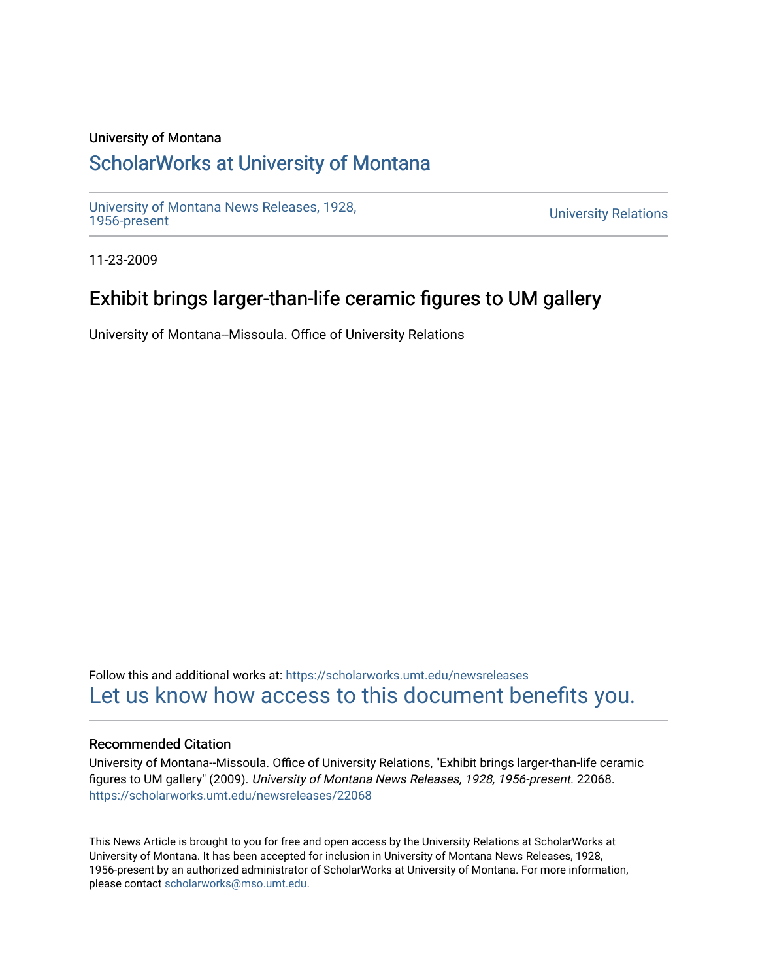#### University of Montana

## [ScholarWorks at University of Montana](https://scholarworks.umt.edu/)

[University of Montana News Releases, 1928,](https://scholarworks.umt.edu/newsreleases) 

**University Relations** 

11-23-2009

## Exhibit brings larger-than-life ceramic figures to UM gallery

University of Montana--Missoula. Office of University Relations

Follow this and additional works at: [https://scholarworks.umt.edu/newsreleases](https://scholarworks.umt.edu/newsreleases?utm_source=scholarworks.umt.edu%2Fnewsreleases%2F22068&utm_medium=PDF&utm_campaign=PDFCoverPages) [Let us know how access to this document benefits you.](https://goo.gl/forms/s2rGfXOLzz71qgsB2) 

#### Recommended Citation

University of Montana--Missoula. Office of University Relations, "Exhibit brings larger-than-life ceramic figures to UM gallery" (2009). University of Montana News Releases, 1928, 1956-present. 22068. [https://scholarworks.umt.edu/newsreleases/22068](https://scholarworks.umt.edu/newsreleases/22068?utm_source=scholarworks.umt.edu%2Fnewsreleases%2F22068&utm_medium=PDF&utm_campaign=PDFCoverPages) 

This News Article is brought to you for free and open access by the University Relations at ScholarWorks at University of Montana. It has been accepted for inclusion in University of Montana News Releases, 1928, 1956-present by an authorized administrator of ScholarWorks at University of Montana. For more information, please contact [scholarworks@mso.umt.edu.](mailto:scholarworks@mso.umt.edu)